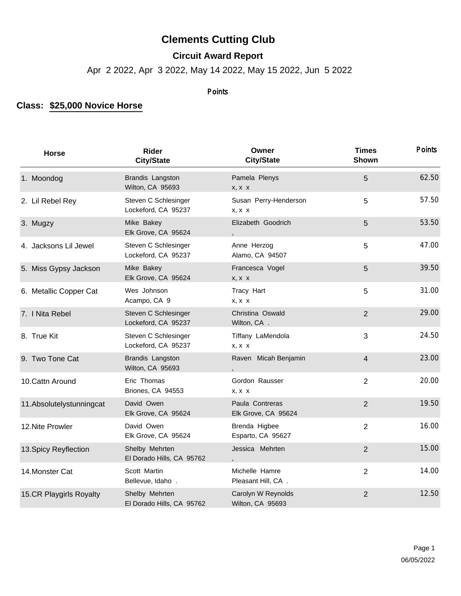## **Clements Cutting Club**

## **Circuit Award Report**

Apr 2 2022, Apr 3 2022, May 14 2022, May 15 2022, Jun 5 2022

## **Points**

## **Class: \$25,000 Novice Horse**

| <b>Horse</b>              | <b>Rider</b><br><b>City/State</b>           | Owner<br><b>City/State</b>             | <b>Times</b><br>Shown | <b>Points</b> |
|---------------------------|---------------------------------------------|----------------------------------------|-----------------------|---------------|
| 1. Moondog                | Brandis Langston<br>Wilton, CA 95693        | Pamela Plenys<br>$X, X \ X$            | 5                     | 62.50         |
| 2. Lil Rebel Rey          | Steven C Schlesinger<br>Lockeford, CA 95237 | Susan Perry-Henderson<br>$X, X \ X$    | 5                     | 57.50         |
| 3. Mugzy                  | Mike Bakey<br>Elk Grove, CA 95624           | Elizabeth Goodrich                     | 5                     | 53.50         |
| 4. Jacksons Lil Jewel     | Steven C Schlesinger<br>Lockeford, CA 95237 | Anne Herzog<br>Alamo, CA 94507         | 5                     | 47.00         |
| 5. Miss Gypsy Jackson     | Mike Bakey<br>Elk Grove, CA 95624           | Francesca Vogel<br>x, x x              | 5                     | 39.50         |
| 6. Metallic Copper Cat    | Wes Johnson<br>Acampo, CA 9                 | Tracy Hart<br>$X, X \ X$               | 5                     | 31.00         |
| 7. I Nita Rebel           | Steven C Schlesinger<br>Lockeford, CA 95237 | Christina Oswald<br>Wilton, CA.        | $\overline{2}$        | 29.00         |
| 8. True Kit               | Steven C Schlesinger<br>Lockeford, CA 95237 | Tiffany LaMendola<br>$X, X \ X$        | 3                     | 24.50         |
| 9. Two Tone Cat           | Brandis Langston<br>Wilton, CA 95693        | Raven Micah Benjamin                   | 4                     | 23.00         |
| 10. Cattn Around          | Eric Thomas<br>Briones, CA 94553            | Gordon Rausser<br>X, X, X              | $\overline{2}$        | 20.00         |
| 11. Absolutelystunningcat | David Owen<br>Elk Grove, CA 95624           | Paula Contreras<br>Elk Grove, CA 95624 | $\overline{2}$        | 19.50         |
| 12. Nite Prowler          | David Owen<br>Elk Grove, CA 95624           | Brenda Higbee<br>Esparto, CA 95627     | $\overline{2}$        | 16.00         |
| 13. Spicy Reyflection     | Shelby Mehrten<br>El Dorado Hills, CA 95762 | Jessica Mehrten                        | $\overline{2}$        | 15.00         |
| 14. Monster Cat           | Scott Martin<br>Bellevue, Idaho.            | Michelle Hamre<br>Pleasant Hill, CA.   | $\overline{2}$        | 14.00         |
| 15.CR Playgirls Royalty   | Shelby Mehrten<br>El Dorado Hills, CA 95762 | Carolyn W Reynolds<br>Wilton, CA 95693 | $\overline{2}$        | 12.50         |